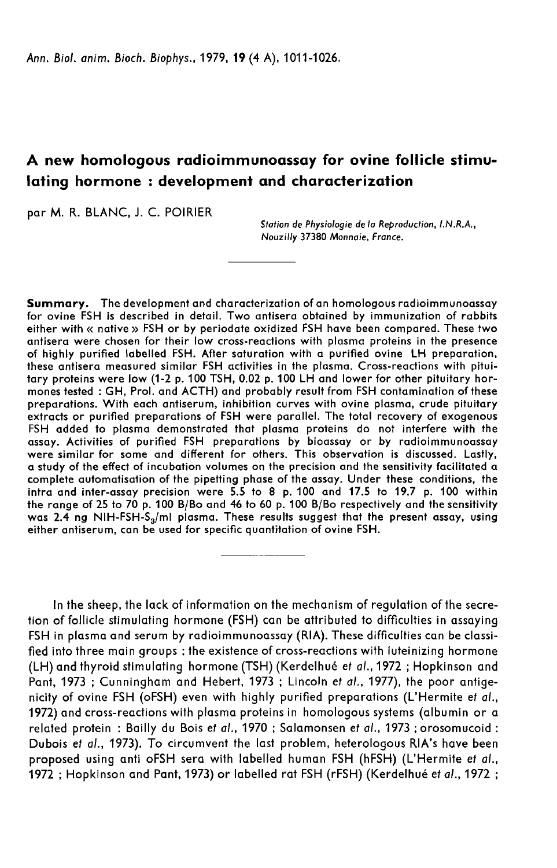# A new homologous radioimmunoassay for ovine follicle stimulating hormone : development and characterization

par M. R. BLANC, J. C. POIRIER

Station de Physiologie de la Reproduction, LN.R.A., Nouzilly 37380 Monnaie, France.

Summary. The development and characterization of an homologous radioimmunoassay for ovine FSH is described in detail. Two antisera obtained by immunization of rabbits either with « native » FSH or by periodate oxidized FSH have been compared. These two antisera were chosen for their low cross-reactions with plasma proteins in the presence of highly purified labelled FSH. After saturation with a purified ovine LH preparation, these antisera measured similar FSH activities in the plasma. Cross-reactions with pituitary proteins were low (1-2 p. 100 TSH, 0.02 p. 100 LH and lower for other pituitary hormones tested : GH, Prol. and ACTH) and probably result from FSH contamination of these extracts or purified preparations of FSH were parallel. The total recovery of exogenous FSH added to plasma demonstrated that plasma proteins do not interfere with the<br>assay. Activities of purified FSH preparations by bioassay or by radioimmunoassay were similar for some and different for others. This observation is discussed. Lastly, a study of the effect of incubation volumes on the precision and the sensitivity facilitated a complete automatisation of the pipetting phase of the assay. Under these conditions, the intra and inter-assay precision were 5.5 to 8 p. 100 and 17.5 to 19.7 p. 100 within<br>the range of 25 to 70 p. 100 B/Bo and 46 to 60 p. 100 B/Bo respectively and the sensitivity was 2.4 ng NIH-FSH-S,/ml plasma. These results suggest that the present assay, using either antiserum, can be used for specific quantitation of ovine FSH.

In the sheep, the lack of information on the mechanism of regulation of the secretion of follicle stimulating hormone (FSH) can be attributed to difficulties in assaying FSH in plasma and serum by radioimmunoassay (RIA). These difficulties can be classified into three main groups : the existence of cross-reactions with luteinizing hormone (LH) and thyroid stimulating hormone (TSH) (Kerdelhué et *al*., 1972 ; Hopkinson and<br>Pant, 1973 ; Cunningham and Hebert, 1973 ; Lincoln et *al.*, 1977), the poor antige-<br>nicity of ovine FSH (oFSH) even with highly purified Pant, 1973 ; Cunningham and Hebert, 1973 ; Lincoln et al., 1977), the poor antige-<br>nicity of ovine FSH (oFSH) even with highly purified preparations (L'Hermite et al., 1972) and cross-reactions with plasma proteins in homologous systems (albumin or a related protein : Bailly du Bois et al., 1970 ; Salamonsen et al., 1973 ; orosomucoid : Dubois et al., 1973). To circumvent the last problem, heterologous RIA's have been proposed using anti oFSH sera with labelled human FSH (hFSH) (L'Hermite et al., 1972 ; Hopkinson and Pant, 1973) or labelled rat FSH (rFSH) (Kerdelhué et al., 1972 ;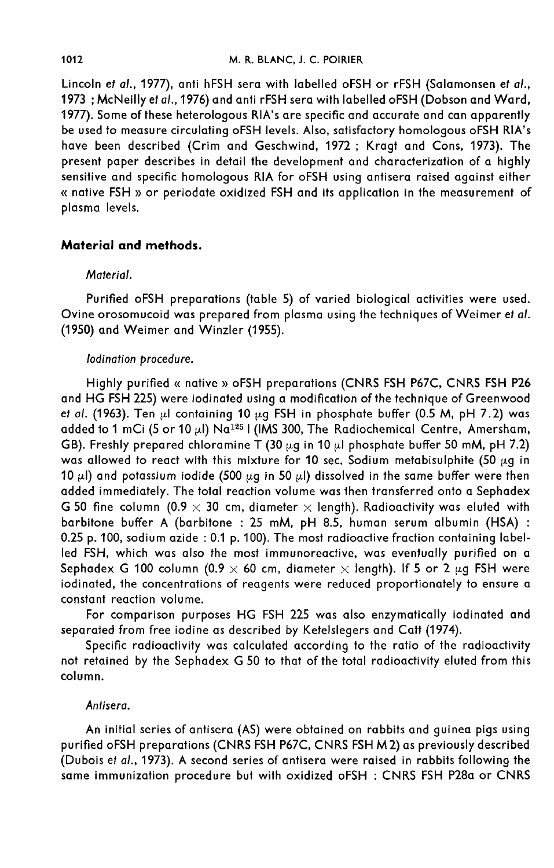Lincoln et al., 1977), anti hFSH sera with labelled oFSH or rFSH (Salamonsen et al., 1973 ; McNeilly et al., 1976) and anti rFSH sera with labelled oFSH (Dobson and Ward, 1977). Some of these heterologous RIA's are specific and accurate and can apparently be used to measure circulating oFSH levels. Also, satisfactory homologous oFSH RIA's have been described (Crim and Geschwind, 1972 ; Kragt and Cons, 1973). The present paper describes in detail the development and characterization of a highly sensitive and specific homologous RIA for oFSH using antisera raised against either « native FSH » or periodate oxidized FSH and its application in the measurement of plasma levels.

## Material and methods.

### Material.

Purified oFSH preparations (table 5) of varied biological activities were used. Ovine orosomucoid was prepared from plasma using the techniques of Weimer et al. (1950) and Weimer and Winzler (1955).

### lodination procedure.

Highly purified « native » oFSH preparations (CNRS FSH P67C, CNRS FSH P26 and HG FSH 225) were iodinated using a modification of the technique of Greenwood et al. (1963). Ten  $\mu$ I containing 10  $\mu$ g FSH in phosphate buffer (0.5 M, pH 7.2) was added to 1 mCi (5 or 10  $\mu$ l) Na $^{125}$  I (IMS 300, The Radiochemical Centre, Amersham, GB). Freshly prepared chloramine T (30  $\mu$ g in 10  $\mu$ l phosphate buffer 50 mM, pH 7.2) was allowed to react with this mixture for 10 sec. Sodium metabisulphite (50  $\mu$ g in 10  $\mu$ l) and potassium iodide (500  $\mu$ g in 50  $\mu$ l) dissolved in the same buffer were then added immediately. The total reaction volume was then transferred onto a Sephadex G 50 fine column  $(0.9 \times 30$  cm, diameter  $\times$  length). Radioactivity was eluted with barbitone buffer A (barbitone : 25 mM, pH 8.5, human serum albumin (HSA) : 0.25 p. 100, sodium azide : 0.1 p. 100). The most radioactive fraction containing labelled FSH, which was also the most immunoreactive, was eventually purified on a Sephadex G 100 column (0.9  $\times$  60 cm, diameter  $\times$  length). If 5 or 2  $\mu$ g FSH were iodinated, the concentrations of reagents were reduced proportionately to ensure a constant reaction volume.

For comparison purposes HG FSH 225 was also enzymatically iodinated and separated from free iodine as described by Ketelslegers and Catt (1974).

Specific radioactivity was calculated according to the ratio of the radioactivity not retained by the Sephadex G 50 to that of the total radioactivity eluted from this column.

### Antisera.

An initial series of antisera (AS) were obtained on rabbits and guinea pigs using An imital series of amisera (A3) were obtained on rabbits and guinea pigs using<br>purified oFSH preparations (CNRS FSH P67C, CNRS FSH M 2) as previously described<br>(Dubois et al., 1973). A second series of antisera were raise (Dubois et al., 1973). A second series of antisera were raised in rabbits following the<br>same immunization procedure but with oxidized oFSH : CNRS FSH P28a or CNRS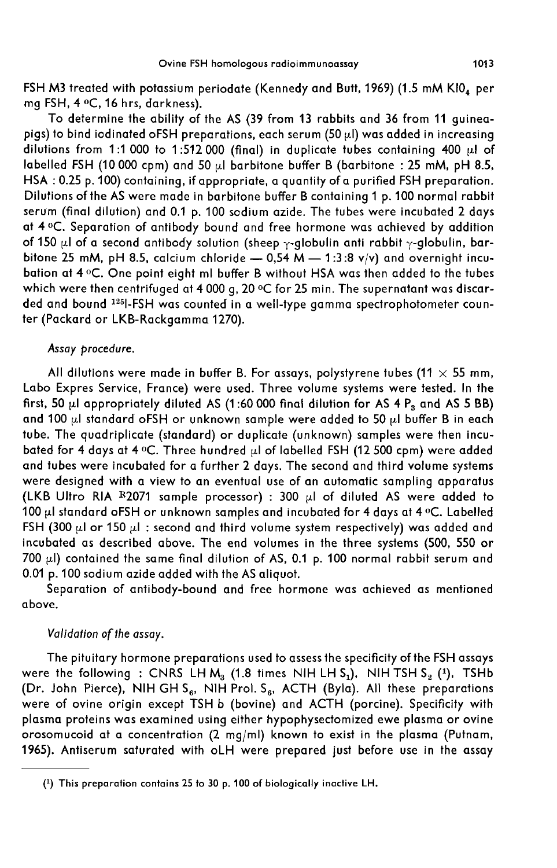FSH M3 treated with potassium periodate (Kennedy and Butt, 1969) (1.5 mM KIO<sub>4</sub> per mg FSH, 4 °C, 16 hrs, darkness).

To determine the ability of the AS (39 from 13 rabbits and 36 from 11 guineapigs) to bind iodinated oFSH preparations, each serum (50  $\mu$ I) was added in increasing dilutions from 1:1 000 to 1:512 000 (final) in duplicate tubes containing 400  $\mu$ l of labelled FSH (10 000 cpm) and 50  $\mu$ l barbitone buffer B (barbitone : 25 mM, pH 8.5, HSA : 0.25 p. 100) containing, if appropriate, a quantity of a purified FSH preparation. Dilutions of the AS were made in barbitone buffer B containing 1 p. 100 normal rabbit serum (final dilution) and 0.1 p. 100 sodium azide. The tubes were incubated 2 days at 4 °C. Separation of antibody bound and free hormone was achieved by addition ot 150 µl of a second antibody solution (sheep <sub>Y</sub>-globulin anti rabbit <sub>Y</sub>-globulin, bar-<br>bitone 25 mM, pH 8.5, calcium chloride — 0,54 M — 1:3:8 v/v) and overnight incubation at 4 °C. One point eight ml buffer B without HSA was then added to the tubes which were then centrifuged at 4 000 g, 20 °C for 25 min. The supernatant was discarded and bound <sup>125</sup>I-FSH was counted in a well-type gamma spectrophotometer counter (Packard or LKB-Rackgamma 1270).

#### Assay procedure.

All dilutions were made in buffer B. For assays, polystyrene tubes (11  $\times$  55 mm, Labo Expres Service, France) were used. Three volume systems were tested. In the first, 50  $\mu$ l appropriately diluted AS (1:60 000 final dilution for AS 4  $\mathsf{P}_{\mathsf{3}}$  and AS 5 BB) and 100 pl standard oFSH or unknown sample were added to 50 pl buffer B in each tube. The quadriplicate (standard) or duplicate (unknown) samples were then incubated for 4 days at 4 °C. Three hundred  $\mu$ l of labelled FSH (12 500 cpm) were added and tubes were incubated for a further 2 days. The second and third volume systems were designed with a view to an eventual use of an automatic sampling apparatus and tubes were incubated for a further 2 days. The second and third volume systems<br>were designed with a view to an eventual use of an automatic sampling apparatus<br>(LKB Ultro RIA <sup>R</sup>2071 sample processor) : 300  $\mu$ l of dil (LKB Ultro RIA R2071 sample processor) : 300  $\mu$ l of diluted AS were added to 100  $\mu$ l standard oFSH or unknown samples and incubated for 4 days at 4 °C. Labelled FSH (300  $\mu$ l or 150  $\mu$ l: second and third volume system respectively) was added and incubated as described above. The end volumes in the three systems (500, 550 or 700  $\mu$ ) contained the same final dilution of AS, 0.1 p. 100 normal rabbit serum and 0.01 p. 100 sodium azide added with the AS aliquot.

Separation of antibody-bound and free hormone was achieved as mentioned above.

### Validation of the assay.

The pituitary hormone preparations used to assess the specificity of the FSH assays were the following : CNRS LH  $M_3$  (1.8 times NIH LH S<sub>1</sub>), NIH TSH S<sub>2</sub> (<sup>1</sup>), TSHb were the following : CNRS LH M<sub>3</sub> (1.8 times NIH LH S<sub>1</sub>), NIH TSH S<sub>2</sub> (<sup>1</sup>), TSHb (Dr. John Pierce), NIH GH S<sub>6</sub>, NIH Prol. S<sub>6</sub>, ACTH (Byla). All these preparations (Dr. John Pierce), NIH GH S<sub>6</sub>, NIH Prol. S<sub>6</sub>, ACTH (Byla). All these preparations<br>were of ovine origin except TSH b (bovine) and ACTH (porcine). Specificity with plasma proteins was examined using either hypophysectomized ewe plasma or ovine orosomucoid at a concentration (2 mgjml) known to exist in the plasma (Putnam, 1965). Antiserum saturated with oLH were prepared just before use in the assay

<sup>(1)</sup> This preparation contains 25 to 30 p. 100 of biologically inactive LH.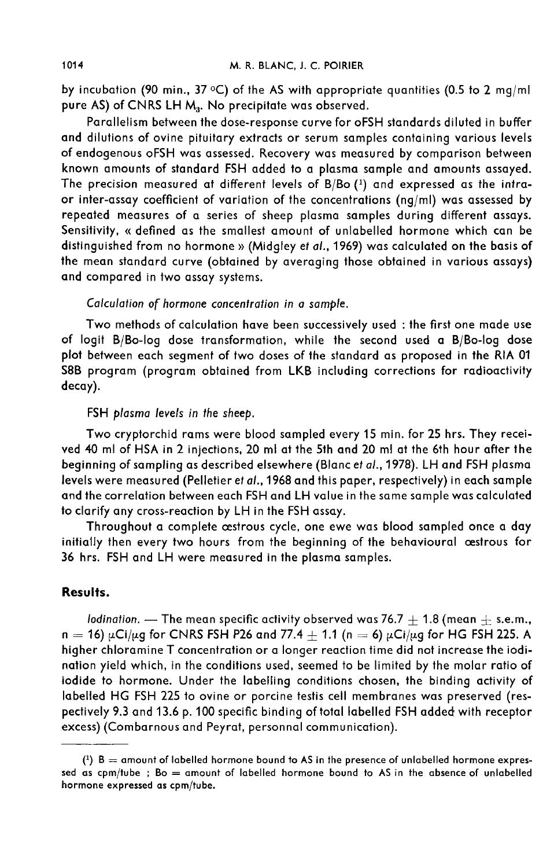by incubation (90 min., 37 °C) of the AS with appropriate quantities (0.5 to 2 mg/ml pure AS) of CNRS LH M<sub>3</sub>. No precipitate was observed.

Parallelism between the dose-response curve for oFSH standards diluted in buffer and dilutions of ovine pituitary extracts or serum samples containing various levels of endogenous oFSH was assessed. Recovery was measured by comparison between known amounts of standard FSH added to a plasma sample and amounts assayed. The precision measured at different levels of B/Bo (1) and expressed as the intraor inter-assay coefficient of variation of the concentrations (ng/ml) was assessed by repeated measures of a series of sheep plasma samples during different assays. Sensitivity, « defined as the smallest amount of unlabelled hormone which can be distinguished from no hormone » (Midgley et al., 1969) was calculated on the basis of the mean standard curve (obtained by averaging those obtained in various assays) and compared in two assay systems.

Calculation of hormone concentration in a sample.

Two methods of calculation have been successively used : the first one made use of logit B/Bo-log dose transformation, while the second used a B/Bo-log dose plot between each segment of two doses of the standard as proposed in the RIA 01 S8B program (program obtained from LKB including corrections for radioactivity decay).

## FSH plasma levels in the sheep.

Two cryptorchid rams were blood sampled every 15 min. for 25 hrs. They received 40 ml of HSA in 2 injections, 20 ml at the 5th and 20 ml at the 6th hour after the beginning of sampling as described elsewhere (Blanc et al., 1978). LH and FSH plasma levels were measured (Pelletier et al., 1968 and this paper, respectively) in each sample and the correlation between each FSH and LH value in the same sample was calculated to clarify any cross-reaction by LH in the FSH assay.

Throughout a complete cestrous cycle, one ewe was blood sampled once a day initially then every two hours from the beginning of the behavioural oestrous for 36 hrs. FSH and LH were measured in the plasma samples.

## Results.

lodination. — The mean specific activity observed was 76.7  $\pm$  1.8 (mean  $\pm$  s.e.m., *n = 16)*  $\mu$ Ci/ $\mu$ g for CNRS FSH P26 and 77.4  $\pm$  1.1 (n = 6)  $\mu$ Ci/ $\mu$ g for HG FSH 225. A higher chloramine T concentration or a longer reaction time did not increase the iodination yield which, in the conditions used, seemed to be limited by the molar ratio of iodide to hormone. Under the labelling conditions chosen, the binding activity of labelled HG FSH 225 to ovine or porcine testis cell membranes was preserved (respectively 9.3 and 13.6 p. 100 specific binding of total labelled FSH added with receptor excess) (Combarnous and Peyrat, personnal communication).

 $(1)$  B = amount of labelled hormone bound to AS in the presence of unlabelled hormone expressed as  $cpm/tube$ ; Bo = amount of labelled hormone bound to AS in the absence of unlabelled hormone expressed as cpm/tube.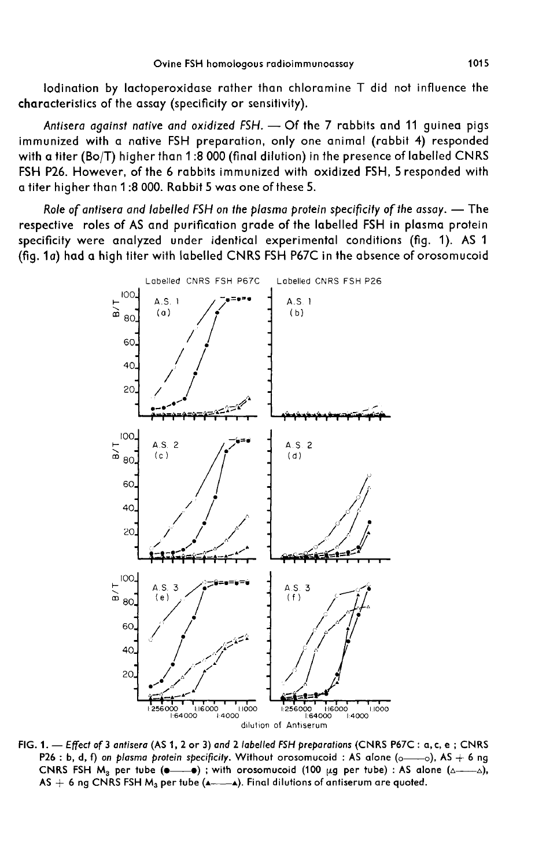lodination by lactoperoxidase rather than chloramine T did not influence the characteristics of the assay (specificity or sensitivity).

Antisera against native and oxidized  $FSH.$   $\rightarrow$  Of the 7 rabbits and 11 guinea pigs immunized with a native FSH preparation, only one animal (rabbit 4) responded with a titer (Bo/T) higher than 1 :8 000 (final dilution) in the presence of labelled CNRS FSH P26. However, of the 6 rabbits immunized with oxidized FSH, 5 responded with a titer higher than 1 :8 000. Rabbit 5 was one of these 5.

Role of antisera and labelled FSH on the plasma protein specificity of the assay.  $-$  The respective roles of AS and purification grade of the labelled FSH in plasma protein specificity were analyzed under identical experimental conditions (fig. 1). AS 1 (fig. 1a) had a high titer with labelled CNRS FSH P67C in the absence of orosomucoid



FIG. 1. - Effect of 3 antisera (AS 1, 2 or 3) and 2 labelled FSH preparations (CNRS P67C: a, c, e; CNRS P26 : b, d, f) on plasma protein specificity. Without orosomucoid : AS alone ( $_0$ — $_0$ ), AS + 6 ng CNRS FSH  $M_2$  per tube (e.g.  $\bullet$ ); with orosomucoid (100  $\mu$ g per tube): AS alone ( $\Delta$ ,), AS  $+$  6 ng CNRS FSH  $M_3$  per tube ( $\overline{---}$ ). Final dilutions of antiserum are quoted.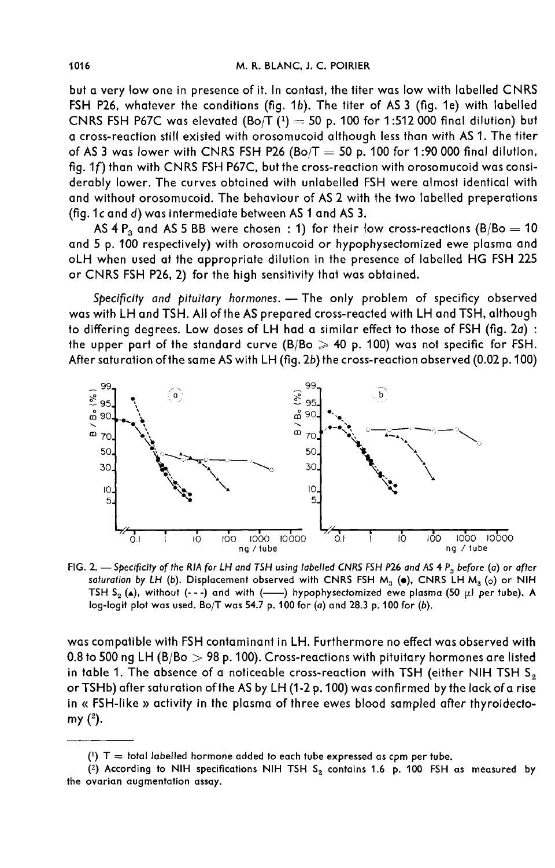but a very low one in presence of it. In contast, the titer was low with labelled CNRS FSH P26, whatever the conditions (fig. 1b). The titer of AS 3 (fig. 1e) with labelled CNRS FSH P67C was elevated  $(Bo/T (1) = 50 p. 100$  for 1:512 000 final dilution) but a cross-reaction still existed with orosomucoid although less than with AS 1. The titer of AS 3 was lower with CNRS FSH P26 (Bo/T  $=$  50 p. 100 for 1:90 000 final dilution, fig. 1f) than with CNRS FSH P67C, but the cross-reaction with orosomucoid was considerably lower. The curves obtained with unlabelled FSH were almost identical with and without orosomucoid. The behaviour of AS 2 with the two labelled preperations (fig.1c and d) was intermediate between AS 1 and AS 3.

AS 4  $P_3$  and AS 5 BB were chosen : 1) for their low cross-reactions (B/Bo = 10 and 5 p. 100 respectively) with orosomucoid or hypophysectomized ewe plasma and oLH when used at the appropriate dilution in the presence of labelled HG FSH 225 or CNRS FSH P26, 2) for the high sensitivity that was obtained.

Specificity and pituitary hormones. - The only problem of specificy observed was with LH and TSH. All of the AS prepared cross-reacted with LH and TSH, although to differing degrees. Low doses of LH had a similar effect to those of FSH (fig. 20) : the upper part of the standard curve  $(B/Bo \ge 40$  p. 100) was not specific for FSH. After satu ration of the same AS with LH (fig. 2b) the cross-reaction observed (0.02 p. 100)



FIG. 2. - Specificity of the RIA for LH and TSH using labelled CNRS FSH P26 and AS 4  $P_3$  before (a) or after saturation by LH (b). Displacement observed with CNRS FSH  $M_3$  (o), CNRS LH  $M_3$  (o) or NIH TSH  $S_2$  (A), without (---) and with (---) hypophysectomized ewe plasma (50 µl per tube). A log-logit plot was used. Bo/T was 54.7 p. 100 for (a) and 28.3 p. 100 for (b).

was compatible with FSH contaminant in LH. Furthermore no effect was observed with 0.8 to 500 ng LH (B/Bo  $>$  98 p. 100). Cross-reactions with pituitary hormones are listed in table 1. The absence of a noticeable cross-reaction with TSH (either NIH TSH  $S<sub>2</sub>$ orTSHb) after saturation of the AS by LH (1-2 p. 100) was confirmed by the lack of a rise in « FSH-like » activity in the plasma of three ewes blood sampled after thyroidecto-  $my(^{2})$ .

<sup>(1)</sup>  $T =$  total labelled hormone added to each tube expressed as cpm per tube.

<sup>(2)</sup> According to NIH specifications NIH TSH  $S_2$  contains 1.6 p. 100 FSH as measured by the ovarian augmentation assay.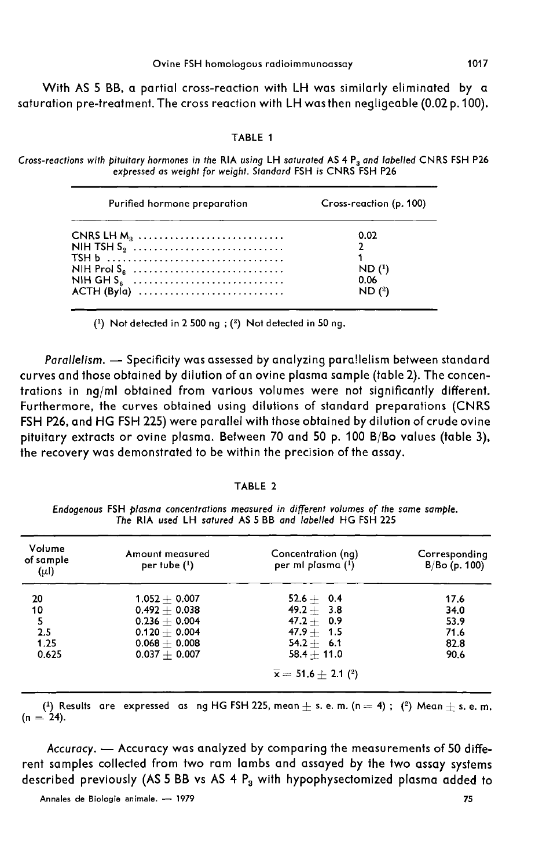With AS 5 BB, a partial cross-reaction with LH was similarly eliminated by a saturation pre-treatment. The cross reaction with LH was then negligeable (0.02 p. 100).

#### TABLE 1

Cross-reactions with pituitary hormones in the RIA using LH saturated AS 4 P<sub>3</sub> and labelled CNRS FSH P26 expressed as weight for weight. Standard FSH is CNRS FSH P26

| 0.02                          | Purified hormone preparation | Cross-reaction (p. 100) |  |  |
|-------------------------------|------------------------------|-------------------------|--|--|
| 0.06<br>NIH GH $S_6$<br>ND(2) | NIH Prol $S_6$               | ND(1)                   |  |  |

 $(1)$  Not detected in 2 500 ng;  $(2)$  Not detected in 50 ng.

Parallelism. - Specificity was assessed by analyzing para!lelism between standard curves and those obtained by dilution of an ovine plasma sample (table 2). The concentrations in ng/ml obtained from various volumes were not significantly different. Furthermore, the curves obtained using dilutions of standard preparations (CNRS FSH P26, and HG FSH 225) were parallel with those obtained by dilution of crude ovine pituitary extracts or ovine plasma. Between 70 and 50 p. 100 B/Bo values (table 3), the recovery was demonstrated to be within the precision of the assay.

#### TABLE 2

Endogenous FSH plasma concentrations measured in different volumes of the same sample. The RIA used LH satured AS 5 BB and labelled HG FSH 225

| Volume<br>of sample<br>$(\mu$ l) | Amount measured<br>$per$ tube $(1)$ | Concentration (ng)<br>per mi plasma $(1)$ | Corresponding<br>$B/Bo$ (p. 100) |
|----------------------------------|-------------------------------------|-------------------------------------------|----------------------------------|
| 20                               | $1.052 + 0.007$                     | $52.6 + 0.4$                              | 17.6                             |
| 10                               | $0.492 + 0.038$                     | $49.2 + 3.8$                              | 34.0                             |
| 5                                | $0.236 + 0.004$                     | $47.2 + 0.9$                              | 53.9                             |
| 2.5                              | $0.120 + 0.004$                     | $47.9 + 1.5$                              | 71.6                             |
| 1.25                             | $0.068 + 0.008$                     | $54.2 + 6.1$                              | 82.8                             |
| 0.625                            | $0.037 + 0.007$                     | $58.4 + 11.0$                             | 90.6                             |
|                                  |                                     | $\bar{x} = 51.6 + 2.1$ ( <sup>2</sup> )   |                                  |

(<sup>1</sup>) Results are expressed as ng HG FSH 225, mean  $\pm$  s. e. m. (n = 4); (<sup>2</sup>) Mean  $\pm$  s. e. m. (n = 24).

Accuracy. - Accuracy was analyzed by comparing the measurements of 50 different samples collected from two ram lambs and assayed by the two assay systems described previously (AS 5 BB vs AS 4  $P_3$  with hypophysectomized plasma added to

75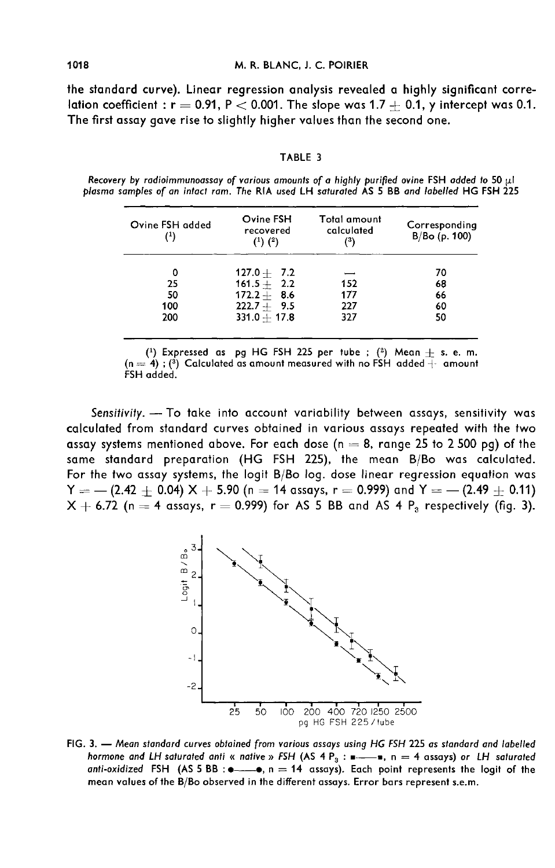the standard curve). Linear regression analysis revealed a highly significant correlation coefficient :  $r = 0.91$ ,  $P < 0.001$ . The slope was 1.7  $+$  0.1, y intercept was 0.1. The first assay gave rise to slightly higher values than the second one.

TABLE 3

| Ovine FSH added<br>$^{\text{\tiny{(1)}}}$ | Ovine FSH<br>recovered<br>$(1)$ $(2)$ | Total amount<br>calculated<br>(3) | Corresponding<br>B/Bo(p. 100) |
|-------------------------------------------|---------------------------------------|-----------------------------------|-------------------------------|
|                                           | $127.0 + 7.2$                         |                                   | 70                            |
| 25                                        | $161.5 + 2.2$                         | 152                               | 68                            |
| 50                                        | $172.2 + 8.6$                         | 177                               | 66                            |
| 100                                       | $222.7 + 9.5$                         | 227                               | 60                            |
| 200                                       | $331.0 + 17.8$                        | 327                               | 50                            |
|                                           |                                       |                                   |                               |

Recovery by radioimmunoassay of various amounts of a highly purified ovine FSH added to 50 µl plasma samples of an intact ram. The RIA used LH saturated AS 5 BB and labelled HG FSH 225

 $(1)$  Expressed as pg HG FSH 225 per tube;  $(2)$  Mean  $+$  s. e. m.  $(n = 4)$ ; (<sup>3</sup>) Calculated as amount measured with no FSH added  $\overline{+}$  amount FSH added.

Sensitivity. - To take into account variability between assays, sensitivity was calculated from standard curves obtained in various assays repeated with the two assay systems mentioned above. For each dose ( $n = 8$ , range 25 to 2 500 pg) of the same standard preparation (HG FSH 225), the mean B/Bo was calculated. For the two assay systems, the logit B/Bo log. dose linear regression equation was  $Y = - (2.42 \pm 0.04) \times + 5.90$  (n  $= 14$  assays, r  $= 0.999$ ) and  $Y = - (2.49 \pm 0.11)$  $X + 6.72$  (n = 4 assays, r = 0.999) for AS 5 BB and AS 4 P<sub>3</sub> respectively (fig. 3).



FIG. 3. - Mean standard curves obtained from various assays using HG FSH 225 as standard and labelled hormone and LH saturated anti « native » FSH (AS 4 P<sub>3</sub> :  $\blacksquare$ , n = 4 assays) or LH saturated anti-oxidized FSH (AS 5 BB :  $\bullet \rightarrow \bullet$ , n = 14 assays). Each point represents the logit of the mean values of the B/Bo observed in the different assays. Error bars represent s.e.m.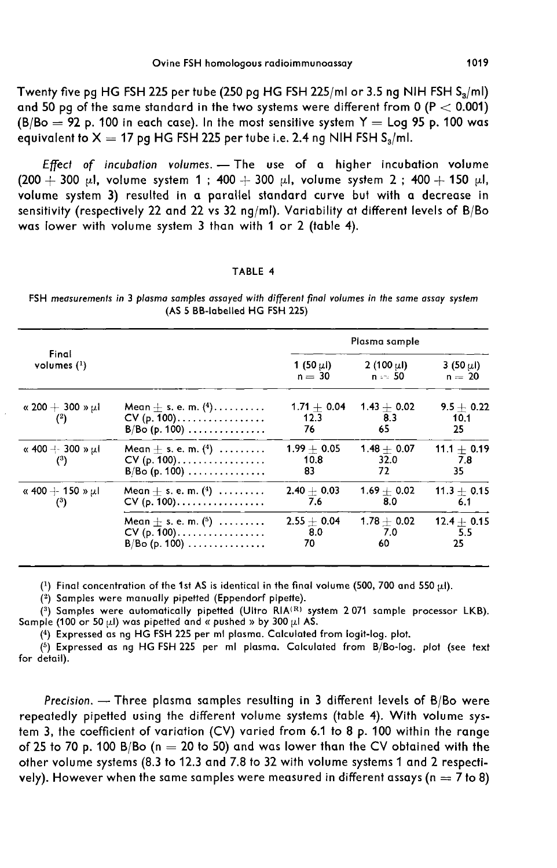Twenty five pg HG FSH 225 per tube (250 pg HG FSH 225/ml or 3.5 ng NIH FSH  $S_3$ /ml) and 50 pg of the same standard in the two systems were different from 0 (P  $<$  0.001)  $(B/Bo = 92 p. 100$  in each case). In the most sensitive system  $Y =$  Log 95 p. 100 was equivalent to  $X = 17$  pg HG FSH 225 per tube i.e. 2.4 ng NIH FSH  $S_n/ml$ .

Effect of incubation volumes.  $-$  The use of a higher incubation volume  $(200 + 300 \mu l,$  volume system 1; 400 + 300  $\mu l$ , volume system 2; 400 + 150  $\mu l$ , volume system 3) resulted in a parallel standard curve but with a decrease in sensitivity (respectively 22 and 22 vs 32 ng/ml). Variability at different levels of B/Bo was lower with volume system 3 than with 1 or 2 (table 4).

#### TABLE 4

FSH measurements in 3 plasma samples assayed with different final volumes in the same assay system (AS 5 BB-labelled HG FSH 225)

|                                     |                                                                                                | Plasma sample                |                             |                               |
|-------------------------------------|------------------------------------------------------------------------------------------------|------------------------------|-----------------------------|-------------------------------|
| Final                               |                                                                                                | 1 (50 $\mu$ I)               | 2 (100 $\mu$ I)             | 3 (50 $\mu$ I)                |
| volumes $(1)$                       |                                                                                                | $n = 30$                     | $n = 50$                    | $n = 20$                      |
| « 200 $+$ 300 » $\mu$ l<br>$^{(2)}$ | Mean $+$ s. e. m. $(4)$<br>$CV (p. 100) \ldots \ldots \ldots \ldots \ldots$<br>$B/Bo$ (p. 100) | $1.71 + 0.04$<br>12.3<br>76. | $1.43 + 0.02$<br>8.3<br>65  | $9.5 + 0.22$<br>10.1<br>25    |
| « 400 + 300 » $\mu$ l<br>$^{(3)}$   | Mean $\pm$ s. e. m. $(4)$<br>$CV (p. 100)$<br>$B/Bo(p. 100) \ldots \ldots \ldots \ldots$       | $1.99 + 0.05$<br>10.8<br>83  | $1.48 + 0.07$<br>32.0<br>72 | $11.1 + 0.19$<br>- 7.8<br>35. |
| « 400 $+$ 150 » $\mu$ l             | Mean $+$ s. e. m. $(4)$                                                                        | $2.40 + 0.03$                | $1.69 + 0.02$               | $11.3 + 0.15$                 |
| $^{(3)}$                            | $CV (p. 100) \ldots \ldots \ldots \ldots \ldots$                                               | 7.6                          | 8.0                         | 6.1                           |
|                                     | Mean $+$ s. e. m. $(5)$                                                                        | $2.55 + 0.04$                | $1.78 + 0.02$               | $12.4 + 0.15$                 |
|                                     | $CV (p. 100) \ldots \ldots \ldots \ldots \ldots$                                               | 8.0                          | 7.0                         | 5.5                           |
|                                     | $B/Bo(p. 100) \ldots \ldots \ldots \ldots$                                                     | 70                           | 60                          | 25                            |

(1) Final concentration of the 1st AS is identical in the final volume (500, 700 and 550  $\mu$ l).

(2) Samples were manually pipetted (Eppendorf pipette).

(3) Samples were automatically pipetted (Ultro RIA(R) system 2071 sample processor LKB). Sample (100 or 50  $\mu$ l) was pipetted and « pushed » by 300  $\mu$ l AS.

(4) Expressed as ng HG FSH 225 per ml plasma. Calculated from logit-log. plot.

(5) Expressed as ng HG FSH 225 per ml plasma. Calculated from B/Bo-log. plot (see text for detail).

Precision. - Three plasma samples resulting in 3 different levels of B/Bo were repeatedly pipetted using the different volume systems (table 4). With volume system 3, the coefficient of variation (CV) varied from 6.1 to 8 p. 100 within the range of 25 to 70 p. 100 B/Bo (n  $=$  20 to 50) and was lower than the CV obtained with the other volume systems (8.3 to 12.3 and 7.8 to 32 with volume systems 1 and 2 respectively). However when the same samples were measured in different assays ( $n = 7$  to 8)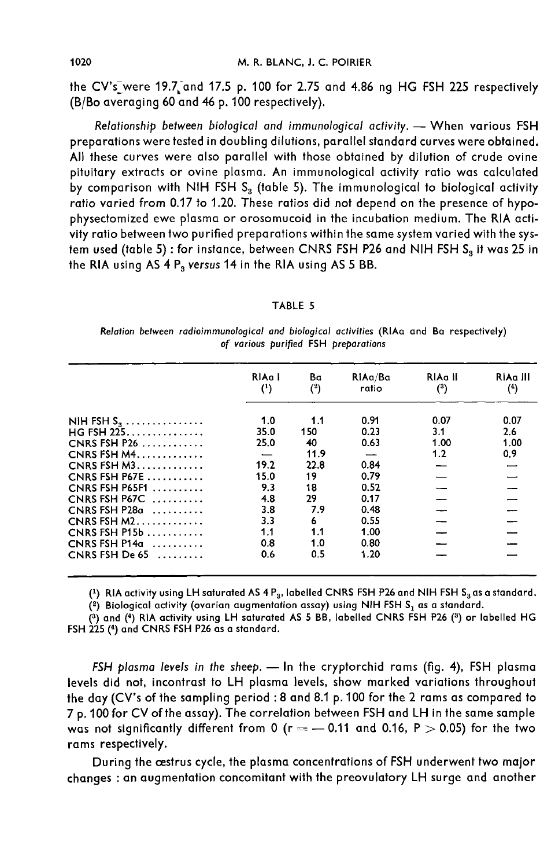the CV's\_were 19.7 and 17.5 p. 100 for 2.75 and 4.86 ng HG FSH 225 respectively (B/Bo averaging 60 and 46 p. 100 respectively).

Relationship between biological and immunological activity. - When various FSH preparations were tested in doubling dilutions, parallel standard curves were obtained. All these curves were also parallel with those obtained by dilution of crude ovine pituitary extracts or ovine plasma. An immunological activity ratio was calculated by comparison with NIH FSH  $S_3$  (table 5). The immunological to biological activity ratio varied from 0.17 to 1.20. These ratios did not depend on the presence of hypophysectomized ewe plasma or orosomucoid in the incubation medium. The RIA activity ratio between two purified preparations within the same system varied with the system used (table 5) : for instance, between CNRS FSH P26 and NIH FSH S<sub>3</sub> it was 25 in the RIA using AS  $4 \, P_3$  versus 14 in the RIA using AS 5 BB.

#### TABLE 5

Relation between radioimmunological and biological activities (RIAa and Ba respectively) of various purified FSH preparations

|                  | RIAa I<br>$^{(1)}$ | Ba<br>(2) | RiAa/Ba<br>ratio | RIAa II<br>(3) | RIAa III<br>(4) |
|------------------|--------------------|-----------|------------------|----------------|-----------------|
| NIH FSH $S_3$    | 1.0                | 1.1       | 0.91             | 0.07           | 0.07            |
| $HG$ FSH 225     | 35.0               | 150       | 0.23             | 3.1            | 2.6             |
| CNRS FSH $P26$   | 25.0               | 40        | 0.63             | 1.00           | 1.00            |
| CNRS FSH $M4$    |                    | 11.9      |                  | 1.2            | 0.9             |
| $CNRS FSH M3$    | 19.2               | 22.8      | 0.84             |                |                 |
| CNRS FSH $P67E$  | 15.0               | 19        | 0.79             |                |                 |
| CNRS FSH P65F1   | 9.3                | 18        | 0.52             |                |                 |
| CNRS FSH $P67C$  | 4.8                | 29        | 0.17             |                |                 |
| $CNRS FSH P28a$  | 3.8                | 7.9       | 0.48             |                |                 |
| $CNRS FSH M2$    | 3.3                | 6         | 0.55             |                |                 |
| $CNRS FSH P15b$  | 1.1                | 1.1       | 1.00             |                |                 |
| CNRS FSH $P14a$  | 0.8                | 1.0       | 0.80             |                |                 |
| CNRS FSH De $65$ | 0.6                | 0.5       | 1.20             |                |                 |

(1) RIA activity using LH saturated AS 4  $P_3$ , labelled CNRS FSH P26 and NIH FSH  $S_3$  as a standard.

(2) Biological activity (ovarian augmentation assay) using NIH FSH  $S_1$  as a standard.

(3) and (4) RIA activity using LH saturated AS 5 BB, labelled CNRS FSH P26 (3) or labelled HG FSH 225 (4) and CNRS FSH P26 as a standard.

FSH plasma levels in the sheep.  $-$  In the cryptorchid rams (fig. 4), FSH plasma levels did not, incontrast to LH plasma levels, show marked variations throughout the day (CV's of the sampling period : 8 and 8.1 p. 100 for the 2 rams as compared to 7 p. 100 for CV of the assay). The correlation between FSH and LH in the same sample was not significantly different from 0 ( $r = -0.11$  and 0.16, P  $> 0.05$ ) for the two rams respectively.

During the oestrus cycle, the plasma concentrations of FSH underwent two major changes : an augmentation concomitant with the preovulatory LH surge and another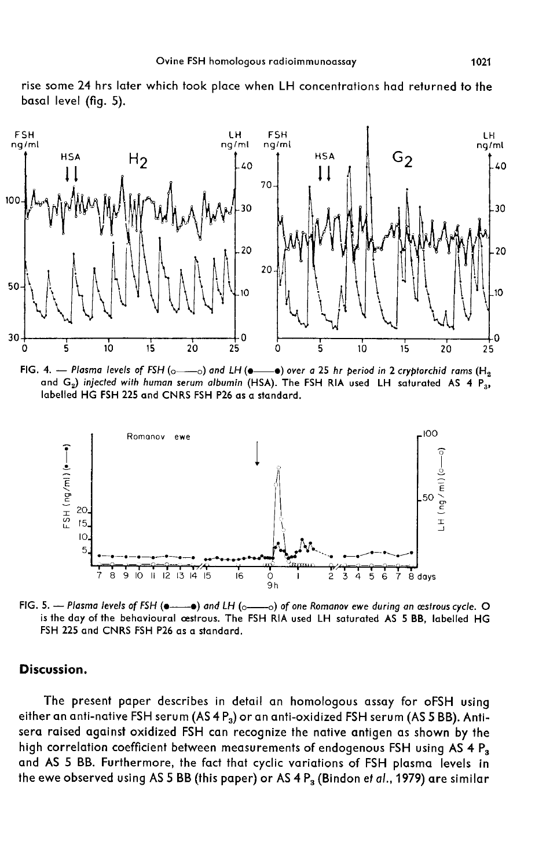



FIG. 4. - Plasma levels of FSH ( $_{\odot}$  -  $_{\odot}$ ) and LH ( $_{\bullet}$  -  $_{\bullet}$ ) over a 25 hr period in 2 cryptorchid rams (H<sub>2</sub> and  $G_2$ ) injected with human serum albumin (HSA). The FSH RIA used LH saturated AS 4  $P_{3}$ , labelled HG FSH 225 and CNRS FSH P26 as a standard.



FIG. 5. - Plasma levels of FSH ( $\bullet$   $\bullet$ ) and LH ( $\circ$   $\bullet$ ) of one Romanov ewe during an æstrous cycle. O is the day of the behavioural cestrous. The FSH RIA used LH saturated AS 5 BB, labelled HG FSH 225 and CNRS FSH P26 as a standard.

### Discussion.

The present paper describes in detail an homologous assay for oFSH using either an anti-native FSH serum (AS 4  $P_3$ ) or an anti-oxidized FSH serum (AS 5 BB). Antisera raised against oxidized FSH can recognize the native antigen as shown by the high correlation coefficient between measurements of endogenous FSH using AS 4 P<sub>3</sub> and AS 5 BB. Furthermore, the fact that cyclic variations of FSH plasma levels in the ewe observed using AS 5 BB (this paper) or AS 4  $P_3$  (Bindon et al., 1979) are similar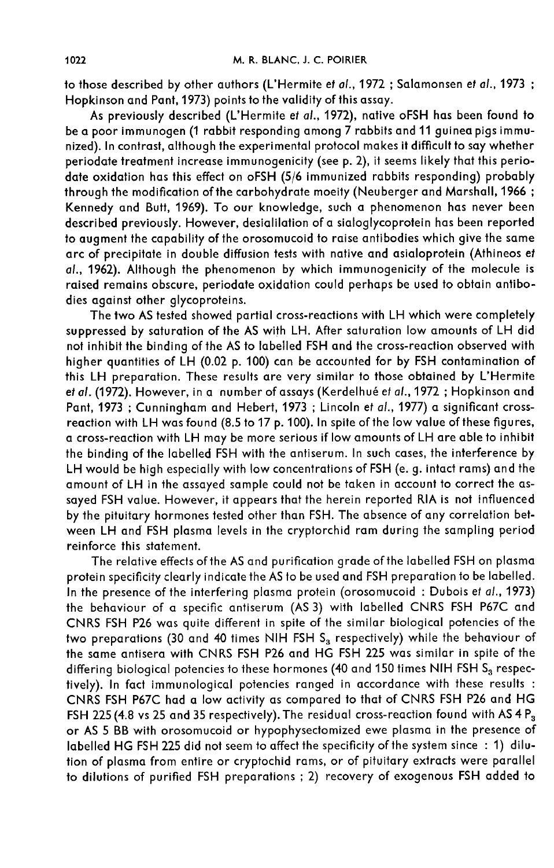to those described by other authors (L'Hermite et al., 1972 ; Salamonsen et al., 1973 ; Hopkinson and Pant, 1973) points to the validity of this assay.

As previously described (L'Hermite et al., 1972), native oFSH has been found to be a poor immunogen (1 rabbit responding among 7 rabbits and 11 guinea pigs immunized). In contrast, although the experimental protocol makes it difficult to say whether periodate treatment increase immunogenicity (see p. 2), it seems likely that this periodate oxidation has this effect on oFSH (5/6 immunized rabbits responding) probably through the modification of the carbohydrate moeity (Neuberger and Marshall, 1966 ; Kennedy and Butt, 1969). To our knowledge, such a phenomenon has never been described previously. However, desialilation of a sialoglycoprotein has been reported to augment the capability of the orosomucoid to raise antibodies which give the same arc of precipitate in double diffusion tests with native and asialoprotein (Athineos et at., 1962). Although the phenomenon by which immunogenicity of the molecule is raised remains obscure, periodate oxidation could perhaps be used to obtain antibodies against other glycoproteins.

The two AS tested showed partial cross-reactions with LH which were completely suppressed by saturation of the AS with LH. After saturation low amounts of LH did not inhibit the binding of the AS to labelled FSH and the cross-reaction observed with higher quantities of LH (0.02 p. 100) can be accounted for by FSH contamination of this LH preparation. These results are very similar to those obtained by L'Hermite et al. (1972). However, in a number of assays (Kerdelhué et al., 1972 ; Hopkinson and Pant, 1973; Cunningham and Hebert, 1973; Lincoln et al., 1977) a significant crossreaction with LH was found (8.5 to 17 p. 100). In spite of the low value of these figures, a cross-reaction with LH may be more serious if low amounts of LH are able to inhibit the binding of the labelled FSH with the antiserum. In such cases, the interference by LH would be high especially with low concentrations of FSH (e. g. intact rams) and the amount of LH in the assayed sample could not be taken in account to correct the assayed FSH value. However, it appears that the herein reported RIA is not influenced by the pituitary hormones tested other than FSH. The absence of any correlation between LH and FSH plasma levels in the cryptorchid ram during the sampling period reinforce this statement.

The relative effects of the AS and purification grade of the labelled FSH on plasma protein specificity clearly indicate the AS to be used and FSH preparation to be labelled. In the presence of the interfering plasma protein (orosomucoid : Dubois et al., 1973) the behaviour of a specific antiserum (AS 3) with labelled CNRS FSH P67C and CNRS FSH P26 was quite different in spite of the similar biological potencies of the two preparations (30 and 40 times NIH FSH  $S<sub>3</sub>$  respectively) while the behaviour of the same antisera with CNRS FSH P26 and HG FSH 225 was similar in spite of the differing biological potencies to these hormones (40 and 150 times NIH FSH S<sub>3</sub> respectively). In fact immunological potencies ranged in accordance with these results : CNRS FSH P67C had a low activity as compared to that of CNRS FSH P26 and HG Fively). In fact immunological potencies ranged in accordance with these results :<br>CNRS FSH P67C had a low activity as compared to that of CNRS FSH P26 and HG<br>FSH 225 (4.8 vs 25 and 35 respectively). The residual cross-rea labelled HG FSH 225 did not seem to affect the specificity of the system since : 1) dilution of plasma from entire or cryptochid rams, or of pituitary extracts were parallel to dilutions of purified FSH preparations ; 2) recovery of exogenous FSH added to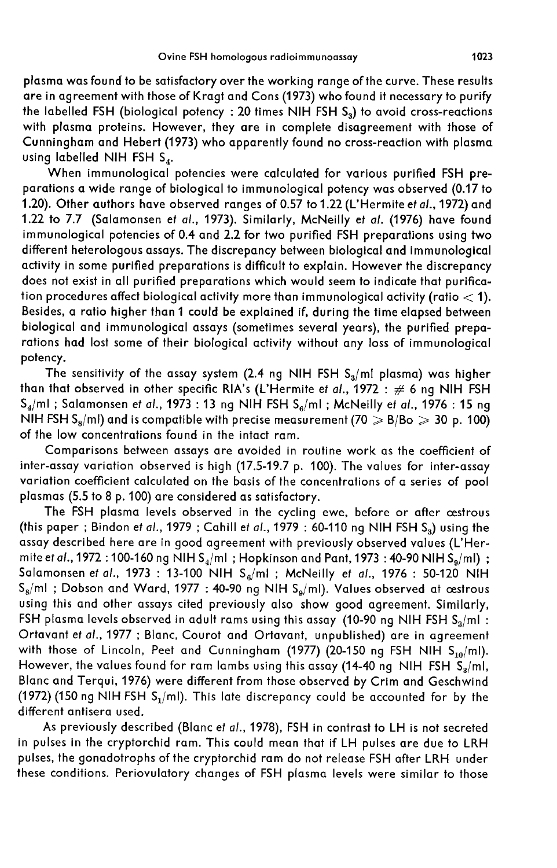plasma was found to be satisfactory over the working range of the curve. These results are in agreement with those of Kragt and Cons (1973) who found it necessary to purify the labelled FSH (biological potency : 20 times NIH FSH  $S_3$ ) to avoid cross-reactions with plasma proteins. However, they are in complete disagreement with those of Cunningham and Hebert (1973) who apparently found no cross-reaction with plasma using labelled NIH FSH  $S_{4}$ .

When immunological potencies were calculated for various purified FSH preparations a wide range of biological to immunological potency was observed (0.17 to 1.20). Other authors have observed ranges of 0.57 to 1.22 (L'Hermite ef al., 1972) and 1.22 to 7.7 (Salamonsen et al., 1973). Similarly, McNeilly et al. (1976) have found immunological potencies of 0.4 and 2.2 for two purified FSH preparations using two different heterologous assays. The discrepancy between biological and immunological activity in some purified preparations is difficult to explain. However the discrepancy does not exist in all purified preparations which would seem to indicate that purification procedures affect biological activity more than immunological activity (ratio  $<$  1). Besides, a ratio higher than 1 could be explained if, during the time elapsed between biological and immunological assays (sometimes several years), the purified preparations had lost some of their biological activity without any loss of immunological potency.

The sensitivity of the assay system (2.4 ng NIH FSH  $S_3/ml$  plasma) was higher than that observed in other specific RIA's (L'Hermite et  $al.,$  1972  $:\,\#$  6 ng NIH FSH The sensitivity of the assay system (2.4 ng NIH FSH S<sub>a</sub>/ml plasma) was higher<br>than that observed in other specific RIA's (L'Hermite et *al*., 1972 : # 6 ng NIH FSH<br>S<sub>4</sub>/ml ; Salamonsen et *al*., 1973 : 13 ng NIH FSH S<sub>6</sub>  $S_4/ml$  ; Salamonsen et al., 1973 : 13 ng NIH FSH  $S_6/ml$  ; McNeilly et al., 1976 : 15 ng<br>NIH FSH  $S_6/ml$ ) and is compatible with precise measurement (70  $\geqslant$  B/Bo  $\geqslant$  30 p. 100) of the low concentrations found in the intact ram.

Comparisons between assays are avoided in routine work as the coefficient of inter-assay variation observed is high (17.5-19.7 p. 100). The values for inter-assay variation coefficient calculated on the basis of the concentrations of a series of pool plasmas (5.5 to 8 p. 100) are considered as satisfactory.

The FSH plasma levels observed in the cycling ewe, before or after cestrous (this paper ; Bindon e*t al*., 1979 ; Cahill e*t al.*, 1979 : 60-110 ng NIH FSH S<sub>a</sub>) using the<br>assay described here are in good agreement with previously observed values (L'Her-<br>mite e*t al.*, 1972 : 100-160 ng NIH S<sub>4</sub>/m assay described here are in good agreement with previously observed values (L'Her-<br>mite et al., 1972 : 100-160 ng NIH S<sub>a</sub>/ml ; Hopkinson and Pant, 1973 : 40-90 NIH S<sub>a</sub>/ml) ; Salamonsen et al., 1973 : 13-100 NIH  $S_6/ml$  ; McNeilly et al., 1976 : 50-120 NIH  $S_8/ml$  ; Dobson and Ward, 1977 : 40-90 ng NIH  $S_9/ml$ . Values observed at œstrous using this and other assays cited previously also show good agreement. Similarly,  $S_8\!$ ml ; Dobson and Ward, 1977 : 40-90 ng NIH  $S_9\!/\mathrm{m}$ l). Values observed at œstrous<br>using this and other assays cited previously also show good agreement. Similarly,<br>FSH plasma levels observed in adult rams using Ortavant et al., 1977 ; Blanc, Courot and Ortavant, unpublished) are in agreement FSH plasma levels observed in adult rams using this assay (10-90 ng NIH FSH  $S_3/m$ ):<br>Crtavant et al., 1977; Blanc, Courot and Ortavant, unpublished) are in agreement<br>with those of Lincoln, Peet and Cunningham (1977) (20-1 with those of Lincoln, Peet and Cunningham (1977) (20-150 ng FSH NIH  $S_{10}/ml$ ).<br>However, the values found for ram lambs using this assay (14-40 ng NIH FSH  $S_3/ml$ , Blanc and Terqui, 1976) were different from those observed by Crim and Geschwind However, the values found for ram lambs using this assay (14-40 ng NIH FSH  $\widetilde{S}_3/m$ l,<br>Blanc and Terqui, 1976) were different from those observed by Crim and Geschwind<br>(1972) (150 ng NIH FSH S<sub>1</sub>/ml). This late discrepan different antisera used.

As previously described (Blanc et al., 1978), FSH in contrast to LH is not secreted in pulses in the cryptorchid ram. This could mean that if LH pulses are due to LRH pulses, the gonadotrophs of the cryptorchid ram do not release FSH after LRH under these conditions. Periovulatory changes of FSH plasma levels were similar to those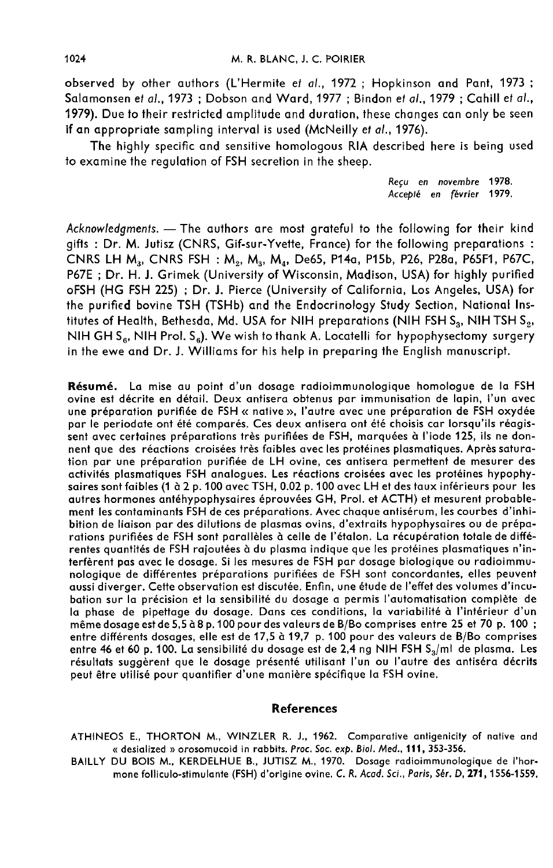observed by other authors (L'Hermite et al., 1972 ; Hopkinson and Pant, 1973 ; Salamonsen et al., 1973 ; Dobson and Ward, 1977 ; Bindon et al., 1979 ; Cahill et al., 1979). Due to their restricted amplitude and duration, these changes can only be seen if an appropriate sampling interval is used (McNeilly et al., 1976).

The highly specific and sensitive homologous RIA described here is being used to examine the regulation of FSH secretion in the sheep.

> Reçu en novembre 1978. Accept6 en février 1979.

Acknowledgments. - The authors are most grateful to the following for their kind gifts : Dr. M. Jutisz (CNRS, Gif-sur-Yvette, France) for the following preparations : CNRS LH M3' CNRS FSH : M,, Mg. M4, De65, P14a, P15b, P26, P28a, P65F1, P67C, P67E ; Dr. H. J. Grimek (University of Wisconsin, Madison, USA) for highly purified oFSH (HG FSH 225) ; Dr. J. Pierce (University of California, Los Angeles, USA) for the purified bovine TSH (TSHb) and the Endocrinology Study Section, National Institutes of Health, Bethesda, Md. USA for NIH preparations (NIH FSH  $S_3$ , NIH TSH  $S_3$ , NIH GH  $S_6$ , NIH Prol.  $S_6$ ). We wish to thank A. Locatelli for hypophysectomy surgery in the ewe and Dr. J. Williams for his help in preparing the English manuscript.

Résumé. La mise au point d'un dosage radioimmunologique homologue de la FSH ovine est décrite en détail. Deux antisera obtenus par immunisation de lapin, l'un avec une préparation purifiée de FSH « native », l'autre avec une préparation de FSH oxydée par le periodate ont été comparés. Ces deux antisera ont été choisis car lorsqu'ils réagis sent avec certaines préparations très purifiées de FSH, marquées à l'iode 125, ils ne donnent que des réactions croisées très faibles avec les protéines plasmatiques. Après saturation par une préparation purifiée de LH ovine, ces antisera permettent de mesurer des activités plasmatiques FSH analogues. Les réactions croisées avec les protéines hypophysaires sont faibles (1 à 2 p. 100 avec TSH, 0.02 p. 100 avec LH et des taux inférieurs pour les autres hormones antéhypophysaires éprouvées GH, Prol. et ACTH) et mesurent probable ment les contaminants FSH de ces préparations. Avec chaque antisérum, les courbes d'inhibition de liaison par des dilutions de plasmas ovins, d'extraits hypophysaires ou de préparations purifiées de FSH sont parallèles à celle de l'étalon. La récupération totale de différentes quantités de FSH rajoutées à du plasma indique que les protéines plasmatiques n'interfèrent pas avec le dosage. Si les mesures de FSH par dosage biologique ou radioimmunologique de différentes préparations purifiées de FSH sont concordantes, elles peuvent aussi diverger. Cette observation est discutée. Enfin, une étude de l'effet des volumes d'incubation sur la précision et la sensibilité du dosage a permis l'automatisation complète de la phase de pipettage du dosage. Dans ces conditions, la variabilité à l'intérieur d'un même dosage est de 5,5 à 8 p. 100 pour des valeurs de B/Bo comprises entre 25 et 70 p. 100 ; entre différents dosages, elle est de 17,5 à 19,7 p. 100 pour des valeurs de B/Bo comprises<br>entre 46 et 60 p. 100. La sensibilité du dosage est de 2,4 ng NIH FSH S<sub>3</sub>/ml de plasma. Les résultats suggèrent que le dosage présenté utilisant l'un ou l'autre des antiséra décrits peut être utilisé pour quantifier d'une manière spécifique la FSH ovine.

#### References

ATHINEOS E., THORTON M., WINZLER R. J., 1962. Comparative antigenicity of native and « desialized » orosomucoid in rabbits. Proc. Soc. exp. Biol. Med., 111, 353-356.

BAILLY DU BOIS M., KERDELHUE B., JUTISZ M., 1970. Dosage radioimmunologique de I'hormone folliculo-stimulante (FSH) d'origine ovine. C. R. Acad. Sci., Paris, Sér. D, 271, 1556-1559.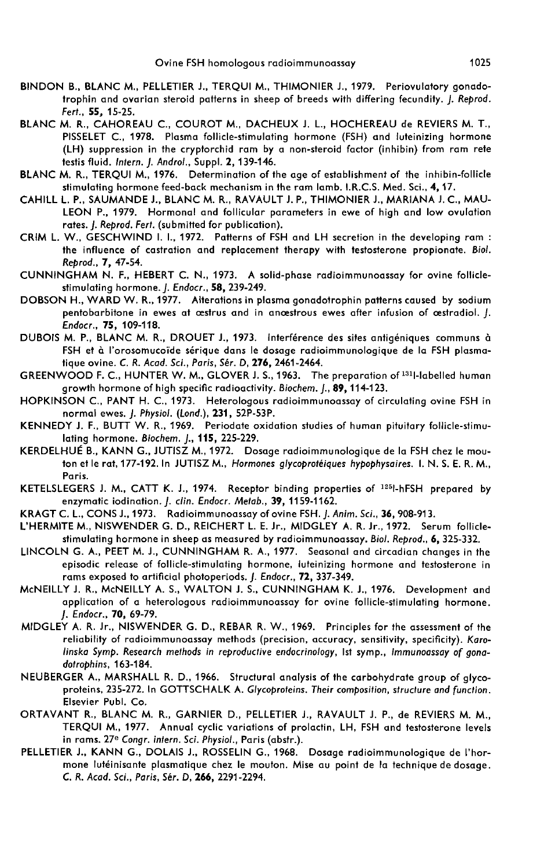- BINDON B., BLANC M., PELLETIER J., TERQUI M., THIMONIER J., 1979. Periovulatory gonadotrophin and ovarian steroid patterns in sheep of breeds with differing fecundity. J. Reprod. Fert., 55, 15-25.
- BLANC M. R., CAHOREAU C., COUROT M., DACHEUX J. L., HOCHEREAU de REVIERS M. T., PISSELET C., 1978. Plasma follicle-stimulating hormone (FSH) and luteinizing hormone (LH) suppression in the cryptorchid ram by a non-steroid factor (inhibin) from ram rete testis fluid. Intern. J. Androl., Suppl. 2, 139-146.
- BLANC M. R., TERQUI M., 1976. Determination of the age of establishment of the inhibin-follicle stimulating hormone feed-back mechanism in the ram lamb. I.R.C.S. Med. Sci., 4,17.
- CAHILL L. P., SAUMANDE J., BLANC M. R., RAVAULT J. P., THIMONIER J., MARIANA J. C., MAU-LEON P., 1979. Hormonal and follicular parameters in ewe of high and low ovulation rates. J. Reprod. Fert. (submitted for publication).
- CRIM L. W., GESCHWIND I. 1., 1972. Patterns of FSH and LH secretion in the developing ram : the influence of castration and replacement therapy with testosterone propionate. Biol. Reprod., 7, 47-54.
- CUNNINGHAM N. F., HEBERT C. N., 1973. A solid-phase radioimmunoassay for ovine folliclestimulating hormone. J. Endocr., 58, 239-249.
- DOBSON H., WARD W. R., 1977. Alterations in plasma gonadotrophin patterns caused by sodium pentobarbitone in ewes at cestrus and in ancestrous ewes after infusion of cestradiol. J. Endocr., 75, 109-118.
- DUBOIS M. P., BLANC M. R., DROUET J., 1973. Interférence des sites antigéniques communs à FSH et à l'orosomucoïde sérique dans le dosage radioimmunologique de la FSH plasmatique ovine. C. R. Acad. Sci., Paris, Sér. D, 276, 2461-2464.
- GREENWOOD F. C., HUNTER W. M., GLOVER J. S., 1963. The preparation of <sup>131</sup>l-labelled human growth hormone of high specific radioactivity. Biochem. 1., 89, 114-123.
- HOPKINSON C., PANT H. C., 1973. Heterologous radioimmunoassay of circulating ovine FSH in normal ewes. J. Physiol. (Lond.), 231, 52P-53P.
- KENNEDY J. F., BUTT W. R., 1969. Periodate oxidation studies of human pituitary follicle-stimulating hormone. Biochem. J., 115, 225-229.
- KERDELHUÉ B., KANN G., JUTISZ M., 1972. Dosage radioimmunologique de la FSH chez le mouton et le rat, 177-192. In JUTISZ M., Hormones glycoprotéiques hypophysaires. I. N. S. E. R. M., Paris.
- KETELSLEGERS J. M., CATT K. J., 1974. Receptor binding properties of <sup>1251</sup>-hFSH prepared by enzymatic iodination. J. clin. Endocr. Metab., 39, 1159-1162.
- KRAGT C. L., CONS J., 1973. Radioimmunoassay of ovine FSH. J. Anim. Sci., 36, 908-913.
- L'HERMITE M., NISWENDER G. D., REICHERT L. E. Jr., MIDGLEY A. R. Jr., 1972. Serum folliclestimulating hormone in sheep as measured by radioimmunoassay. Biol. Reprod., 6, 325-332.
- LINCOLN G. A., PEET M. J., CUNNINGHAM R. A., 1977. Seasonal and circadian changes in the episodic release of follicle-stimulating hormone, luteinizing hormone and testosterone in rams exposed to artificial photoperiods. J. Endocr., 72, 337-349.
- McNEILLY J. R., McNEILLY A. S., WALTON J. S., CUNNINGHAM K. J., 1976. Development and application of a heterologous radioimmunoassay for ovine follicle-stimulating hormone. J. Endocr., 70, 69-79.
- MIDGLEY A. R. Jr., NISWENDER G. D., REBAR R. W., 1969. Principles for the assessment of the reliability of radioimmunoassay methods (precision, accuracy, sensitivity, specificity). Karolinska Symp. Research methods in reproductive endocrinology, lst symp., Immunoassay of gonadotrophins, 163-184.
- NEUBERGER A., MARSHALL R. D., 1966. Structural analysis of the carbohydrate group of glycoproteins, 235-272. In GOTTSCHALK A. Glycoproteins. Their composition, structure and function. Elsevier Publ. Co.
- ORTAVANT R., BLANC M. R., GARNIER D., PELLETIER J., RAVAULT J. P., de REVIERS M. M., TERQUI M., 1977. Annual cyclic variations of prolactin, LH, FSH and testosterone levels<br>in rams. 27<sup>e</sup> Congr. intern. Sci. Physiol., Paris (abstr.).
- PELLETIER J., KANN G., DOLAIS J., ROSSELIN G., 1968. Dosage radioimmunologique de l'hormone lut6inisante plasmatique chez le mouton. Mise au point de la technique de dosage. C. R. Acad. Sci., Paris, Sér. D, 266, 2291-2294.